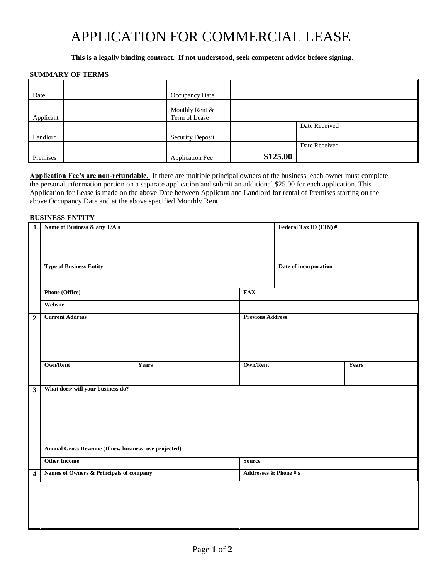# APPLICATION FOR COMMERCIAL LEASE

## **This is a legally binding contract. If not understood, seek competent advice before signing.**

## **SUMMARY OF TERMS**

| Date      | Occupancy Date                  |          |               |
|-----------|---------------------------------|----------|---------------|
| Applicant | Monthly Rent &<br>Term of Lease |          |               |
|           |                                 |          | Date Received |
| Landlord  | <b>Security Deposit</b>         |          |               |
|           |                                 |          | Date Received |
| Premises  | <b>Application Fee</b>          | \$125.00 |               |

**Application Fee's are non-refundable.** If there are multiple principal owners of the business, each owner must complete the personal information portion on a separate application and submit an additional \$25.00 for each application. This Application for Lease is made on the above Date between Applicant and Landlord for rental of Premises starting on the above Occupancy Date and at the above specified Monthly Rent.

### **BUSINESS ENTITY**

| $\mathbf{1}$            | Name of Business & any T/A's                          |       |                         | Federal Tax ID (EIN) # |              |
|-------------------------|-------------------------------------------------------|-------|-------------------------|------------------------|--------------|
|                         | <b>Type of Business Entity</b>                        |       |                         | Date of incorporation  |              |
|                         | <b>Phone (Office)</b>                                 |       | <b>FAX</b>              |                        |              |
|                         | Website                                               |       |                         |                        |              |
| $\overline{2}$          | <b>Current Address</b>                                |       | <b>Previous Address</b> |                        |              |
|                         | <b>Own/Rent</b>                                       | Years | <b>Own/Rent</b>         |                        | <b>Years</b> |
| $\overline{\mathbf{3}}$ | What does/ will your business do?                     |       |                         |                        |              |
|                         | Annual Gross Revenue (If new business, use projected) |       |                         |                        |              |
|                         | <b>Other Income</b>                                   |       | <b>Source</b>           |                        |              |
| $\overline{\mathbf{4}}$ | Names of Owners & Principals of company               |       | Addresses & Phone #'s   |                        |              |